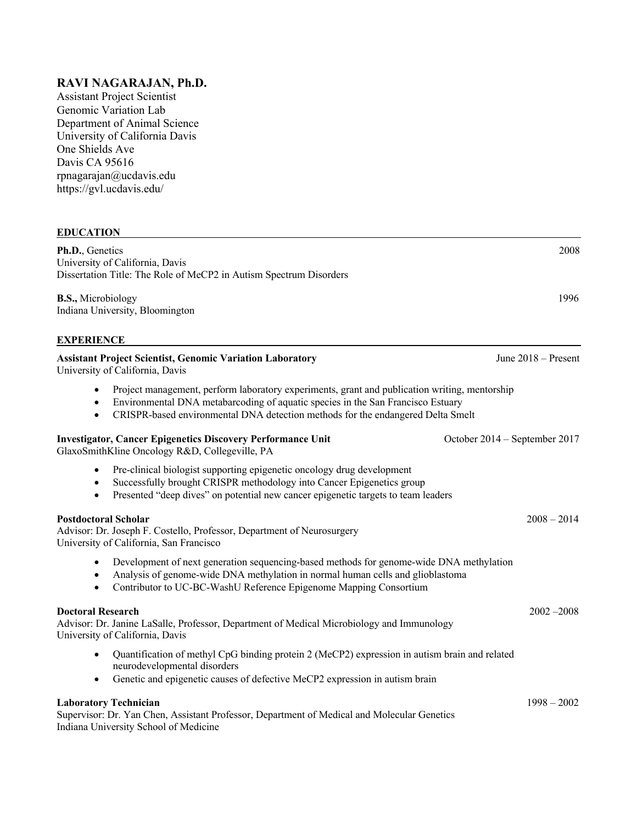# **RAVI NAGARAJAN, Ph.D.**

Assistant Project Scientist Genomic Variation Lab Department of Animal Science University of California Davis One Shields Ave Davis CA 95616 rpnagarajan@ucdavis.edu https://gvl.ucdavis.edu/

## **EDUCATION**

**Ph.D.**, Genetics 2008 University of California, Davis Dissertation Title: The Role of MeCP2 in Autism Spectrum Disorders **B.S.,** Microbiology 1996 Indiana University, Bloomington **EXPERIENCE Assistant Project Scientist, Genomic Variation Laboratory** June 2018 – Present University of California, Davis • Project management, perform laboratory experiments, grant and publication writing, mentorship • Environmental DNA metabarcoding of aquatic species in the San Francisco Estuary • CRISPR-based environmental DNA detection methods for the endangered Delta Smelt **Investigator, Cancer Epigenetics Discovery Performance Unit** October 2014 – September 2017 GlaxoSmithKline Oncology R&D, Collegeville, PA • Pre-clinical biologist supporting epigenetic oncology drug development • Successfully brought CRISPR methodology into Cancer Epigenetics group • Presented "deep dives" on potential new cancer epigenetic targets to team leaders **Postdoctoral Scholar** 2008 – 2014 Advisor: Dr. Joseph F. Costello, Professor, Department of Neurosurgery University of California, San Francisco • Development of next generation sequencing-based methods for genome-wide DNA methylation • Analysis of genome-wide DNA methylation in normal human cells and glioblastoma • Contributor to UC-BC-WashU Reference Epigenome Mapping Consortium **Doctoral Research** 2002 –2008 Advisor: Dr. Janine LaSalle, Professor, Department of Medical Microbiology and Immunology University of California, Davis • Quantification of methyl CpG binding protein 2 (MeCP2) expression in autism brain and related neurodevelopmental disorders • Genetic and epigenetic causes of defective MeCP2 expression in autism brain **Laboratory Technician** 1998 – 2002 Supervisor: Dr. Yan Chen, Assistant Professor, Department of Medical and Molecular Genetics Indiana University School of Medicine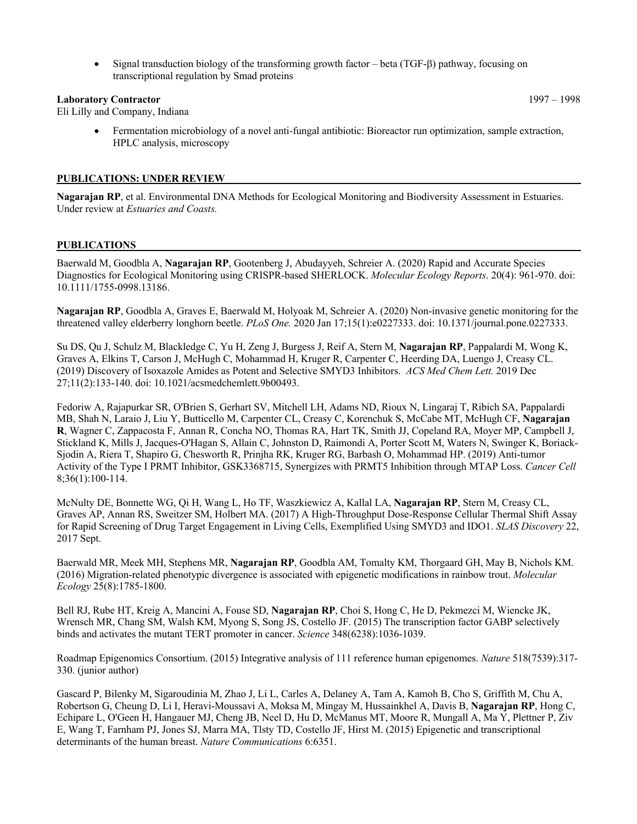• Signal transduction biology of the transforming growth factor – beta (TGF- $\beta$ ) pathway, focusing on transcriptional regulation by Smad proteins

#### **Laboratory Contractor** 1997 – 1998

Eli Lilly and Company, Indiana

• Fermentation microbiology of a novel anti-fungal antibiotic: Bioreactor run optimization, sample extraction, HPLC analysis, microscopy

#### **PUBLICATIONS: UNDER REVIEW**

**Nagarajan RP**, et al. Environmental DNA Methods for Ecological Monitoring and Biodiversity Assessment in Estuaries. Under review at *Estuaries and Coasts.*

#### **PUBLICATIONS**

Baerwald M, Goodbla A, **Nagarajan RP**, Gootenberg J, Abudayyeh, Schreier A. (2020) Rapid and Accurate Species Diagnostics for Ecological Monitoring using CRISPR-based SHERLOCK. *Molecular Ecology Reports*. 20(4): 961-970. doi: 10.1111/1755-0998.13186.

**Nagarajan RP**, Goodbla A, Graves E, Baerwald M, Holyoak M, Schreier A. (2020) Non-invasive genetic monitoring for the threatened valley elderberry longhorn beetle. *PLoS One.* 2020 Jan 17;15(1):e0227333. doi: 10.1371/journal.pone.0227333.

Su DS, Qu J, Schulz M, Blackledge C, Yu H, Zeng J, Burgess J, Reif A, Stern M, **Nagarajan RP**, Pappalardi M, Wong K, Graves A, Elkins T, Carson J, McHugh C, Mohammad H, Kruger R, Carpenter C, Heerding DA, Luengo J, Creasy CL. (2019) Discovery of Isoxazole Amides as Potent and Selective SMYD3 Inhibitors. *ACS Med Chem Lett.* 2019 Dec 27;11(2):133-140. doi: 10.1021/acsmedchemlett.9b00493.

Fedoriw A, Rajapurkar SR, O'Brien S, Gerhart SV, Mitchell LH, Adams ND, Rioux N, Lingaraj T, Ribich SA, Pappalardi MB, Shah N, Laraio J, Liu Y, Butticello M, Carpenter CL, Creasy C, Korenchuk S, McCabe MT, McHugh CF, **Nagarajan R**, Wagner C, Zappacosta F, Annan R, Concha NO, Thomas RA, Hart TK, Smith JJ, Copeland RA, Moyer MP, Campbell J, Stickland K, Mills J, Jacques-O'Hagan S, Allain C, Johnston D, Raimondi A, Porter Scott M, Waters N, Swinger K, Boriack-Sjodin A, Riera T, Shapiro G, Chesworth R, Prinjha RK, Kruger RG, Barbash O, Mohammad HP. (2019) Anti-tumor Activity of the Type I PRMT Inhibitor, GSK3368715, Synergizes with PRMT5 Inhibition through MTAP Loss. *Cancer Cell* 8;36(1):100-114.

McNulty DE, Bonnette WG, Qi H, Wang L, Ho TF, Waszkiewicz A, Kallal LA, **Nagarajan RP**, Stern M, Creasy CL, Graves AP, Annan RS, Sweitzer SM, Holbert MA. (2017) A High-Throughput Dose-Response Cellular Thermal Shift Assay for Rapid Screening of Drug Target Engagement in Living Cells, Exemplified Using SMYD3 and IDO1. *SLAS Discovery* 22, 2017 Sept.

Baerwald MR, Meek MH, Stephens MR, **Nagarajan RP**, Goodbla AM, Tomalty KM, Thorgaard GH, May B, Nichols KM. (2016) Migration-related phenotypic divergence is associated with epigenetic modifications in rainbow trout. *Molecular Ecology* 25(8):1785-1800.

Bell RJ, Rube HT, Kreig A, Mancini A, Fouse SD, **Nagarajan RP**, Choi S, Hong C, He D, Pekmezci M, Wiencke JK, Wrensch MR, Chang SM, Walsh KM, Myong S, Song JS, Costello JF. (2015) The transcription factor GABP selectively binds and activates the mutant TERT promoter in cancer. *Science* 348(6238):1036-1039.

Roadmap Epigenomics Consortium. (2015) Integrative analysis of 111 reference human epigenomes. *Nature* 518(7539):317- 330. (junior author)

Gascard P, Bilenky M, Sigaroudinia M, Zhao J, Li L, Carles A, Delaney A, Tam A, Kamoh B, Cho S, Griffith M, Chu A, Robertson G, Cheung D, Li I, Heravi-Moussavi A, Moksa M, Mingay M, Hussainkhel A, Davis B, **Nagarajan RP**, Hong C, Echipare L, O'Geen H, Hangauer MJ, Cheng JB, Neel D, Hu D, McManus MT, Moore R, Mungall A, Ma Y, Plettner P, Ziv E, Wang T, Farnham PJ, Jones SJ, Marra MA, Tlsty TD, Costello JF, Hirst M. (2015) Epigenetic and transcriptional determinants of the human breast. *Nature Communications* 6:6351.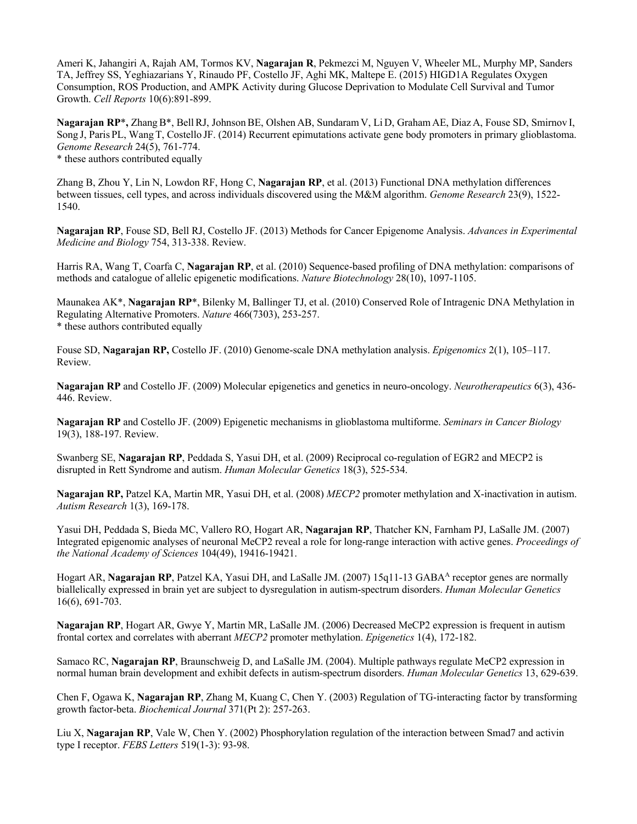Ameri K, Jahangiri A, Rajah AM, Tormos KV, **Nagarajan R**, Pekmezci M, Nguyen V, Wheeler ML, Murphy MP, Sanders TA, Jeffrey SS, Yeghiazarians Y, Rinaudo PF, Costello JF, Aghi MK, Maltepe E. (2015) HIGD1A Regulates Oxygen Consumption, ROS Production, and AMPK Activity during Glucose Deprivation to Modulate Cell Survival and Tumor Growth. *Cell Reports* 10(6):891-899.

**Nagarajan RP<sup>\*</sup>,** Zhang B<sup>\*</sup>, Bell RJ, Johnson BE, Olshen AB, Sundaram V, Li D, Graham AE, Diaz A, Fouse SD, Smirnov I, Song J, Paris PL, Wang T, Costello JF. (2014) Recurrent epimutations activate gene body promoters in primary glioblastoma. *Genome Research* 24(5), 761-774. \* these authors contributed equally

Zhang B, Zhou Y, Lin N, Lowdon RF, Hong C, **Nagarajan RP**, et al. (2013) Functional DNA methylation differences between tissues, cell types, and across individuals discovered using the M&M algorithm. *Genome Research* 23(9), 1522- 1540.

**Nagarajan RP**, Fouse SD, Bell RJ, Costello JF. (2013) Methods for Cancer Epigenome Analysis. *Advances in Experimental Medicine and Biology* 754, 313-338. Review.

Harris RA, Wang T, Coarfa C, **Nagarajan RP**, et al. (2010) Sequence-based profiling of DNA methylation: comparisons of methods and catalogue of allelic epigenetic modifications. *Nature Biotechnology* 28(10), 1097-1105.

Maunakea AK\*, **Nagarajan RP**\*, Bilenky M, Ballinger TJ, et al. (2010) Conserved Role of Intragenic DNA Methylation in Regulating Alternative Promoters. *Nature* 466(7303), 253-257. \* these authors contributed equally

Fouse SD, **Nagarajan RP,** Costello JF. (2010) Genome-scale DNA methylation analysis. *Epigenomics* 2(1), 105–117. Review.

**Nagarajan RP** and Costello JF. (2009) Molecular epigenetics and genetics in neuro-oncology. *Neurotherapeutics* 6(3), 436- 446. Review.

**Nagarajan RP** and Costello JF. (2009) Epigenetic mechanisms in glioblastoma multiforme. *Seminars in Cancer Biology* 19(3), 188-197. Review.

Swanberg SE, **Nagarajan RP**, Peddada S, Yasui DH, et al. (2009) Reciprocal co-regulation of EGR2 and MECP2 is disrupted in Rett Syndrome and autism. *Human Molecular Genetics* 18(3), 525-534.

**Nagarajan RP,** Patzel KA, Martin MR, Yasui DH, et al. (2008) *MECP2* promoter methylation and X-inactivation in autism. *Autism Research* 1(3), 169-178.

Yasui DH, Peddada S, Bieda MC, Vallero RO, Hogart AR, **Nagarajan RP**, Thatcher KN, Farnham PJ, LaSalle JM. (2007) Integrated epigenomic analyses of neuronal MeCP2 reveal a role for long-range interaction with active genes. *Proceedings of the National Academy of Sciences* 104(49), 19416-19421.

Hogart AR, **Nagarajan RP**, Patzel KA, Yasui DH, and LaSalle JM. (2007) 15q11-13 GABAA receptor genes are normally biallelically expressed in brain yet are subject to dysregulation in autism-spectrum disorders. *Human Molecular Genetics*  16(6), 691-703.

**Nagarajan RP**, Hogart AR, Gwye Y, Martin MR, LaSalle JM. (2006) Decreased MeCP2 expression is frequent in autism frontal cortex and correlates with aberrant *MECP2* promoter methylation. *Epigenetics* 1(4), 172-182.

Samaco RC, **Nagarajan RP**, Braunschweig D, and LaSalle JM. (2004). Multiple pathways regulate MeCP2 expression in normal human brain development and exhibit defects in autism-spectrum disorders. *Human Molecular Genetics* 13, 629-639.

Chen F, Ogawa K, **Nagarajan RP**, Zhang M, Kuang C, Chen Y. (2003) Regulation of TG-interacting factor by transforming growth factor-beta. *Biochemical Journal* 371(Pt 2): 257-263.

Liu X, **Nagarajan RP**, Vale W, Chen Y. (2002) Phosphorylation regulation of the interaction between Smad7 and activin type I receptor. *FEBS Letters* 519(1-3): 93-98.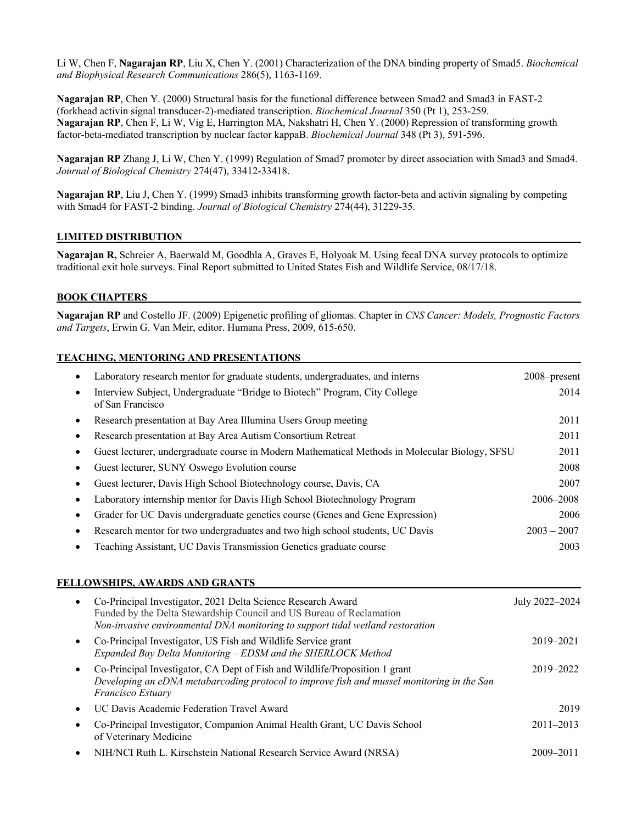Li W, Chen F, **Nagarajan RP**, Liu X, Chen Y. (2001) Characterization of the DNA binding property of Smad5. *Biochemical and Biophysical Research Communications* 286(5), 1163-1169.

**Nagarajan RP**, Chen Y. (2000) Structural basis for the functional difference between Smad2 and Smad3 in FAST-2 (forkhead activin signal transducer-2)-mediated transcription. *Biochemical Journal* 350 (Pt 1), 253-259. **Nagarajan RP**, Chen F, Li W, Vig E, Harrington MA, Nakshatri H, Chen Y. (2000) Repression of transforming growth factor-beta-mediated transcription by nuclear factor kappaB. *Biochemical Journal* 348 (Pt 3), 591-596.

**Nagarajan RP** Zhang J, Li W, Chen Y. (1999) Regulation of Smad7 promoter by direct association with Smad3 and Smad4. *Journal of Biological Chemistry* 274(47), 33412-33418.

**Nagarajan RP**, Liu J, Chen Y. (1999) Smad3 inhibits transforming growth factor-beta and activin signaling by competing with Smad4 for FAST-2 binding. *Journal of Biological Chemistry* 274(44), 31229-35.

## **LIMITED DISTRIBUTION**

**Nagarajan R,** Schreier A, Baerwald M, Goodbla A, Graves E, Holyoak M. Using fecal DNA survey protocols to optimize traditional exit hole surveys. Final Report submitted to United States Fish and Wildlife Service, 08/17/18.

## **BOOK CHAPTERS**

**Nagarajan RP** and Costello JF. (2009) Epigenetic profiling of gliomas. Chapter in *CNS Cancer: Models, Prognostic Factors and Targets*, Erwin G. Van Meir, editor. Humana Press, 2009, 615-650.

#### **TEACHING, MENTORING AND PRESENTATIONS**

| Laboratory research mentor for graduate students, undergraduates, and interns                  | 2008–present  |
|------------------------------------------------------------------------------------------------|---------------|
| Interview Subject, Undergraduate "Bridge to Biotech" Program, City College<br>of San Francisco | 2014          |
| Research presentation at Bay Area Illumina Users Group meeting                                 | 2011          |
| Research presentation at Bay Area Autism Consortium Retreat                                    | 2011          |
| Guest lecturer, undergraduate course in Modern Mathematical Methods in Molecular Biology, SFSU | 2011          |
| Guest lecturer, SUNY Oswego Evolution course                                                   | 2008          |
| Guest lecturer, Davis High School Biotechnology course, Davis, CA                              | 2007          |
| Laboratory internship mentor for Davis High School Biotechnology Program                       | 2006–2008     |
| Grader for UC Davis undergraduate genetics course (Genes and Gene Expression)                  | 2006          |
| Research mentor for two undergraduates and two high school students, UC Davis                  | $2003 - 2007$ |
| Teaching Assistant, UC Davis Transmission Genetics graduate course                             | 2003          |

#### **FELLOWSHIPS, AWARDS AND GRANTS**

| $\bullet$ | Co-Principal Investigator, 2021 Delta Science Research Award<br>Funded by the Delta Stewardship Council and US Bureau of Reclamation<br>Non-invasive environmental DNA monitoring to support tidal wetland restoration | July 2022-2024 |
|-----------|------------------------------------------------------------------------------------------------------------------------------------------------------------------------------------------------------------------------|----------------|
| $\bullet$ | Co-Principal Investigator, US Fish and Wildlife Service grant<br>Expanded Bay Delta Monitoring - EDSM and the SHERLOCK Method                                                                                          | 2019-2021      |
|           | Co-Principal Investigator, CA Dept of Fish and Wildlife/Proposition 1 grant<br>Developing an eDNA metabarcoding protocol to improve fish and mussel monitoring in the San<br><b>Francisco Estuary</b>                  | 2019-2022      |
|           | UC Davis Academic Federation Travel Award                                                                                                                                                                              | 2019           |
|           | Co-Principal Investigator, Companion Animal Health Grant, UC Davis School<br>of Veterinary Medicine                                                                                                                    | $2011 - 2013$  |
|           | NIH/NCI Ruth L. Kirschstein National Research Service Award (NRSA)                                                                                                                                                     | 2009-2011      |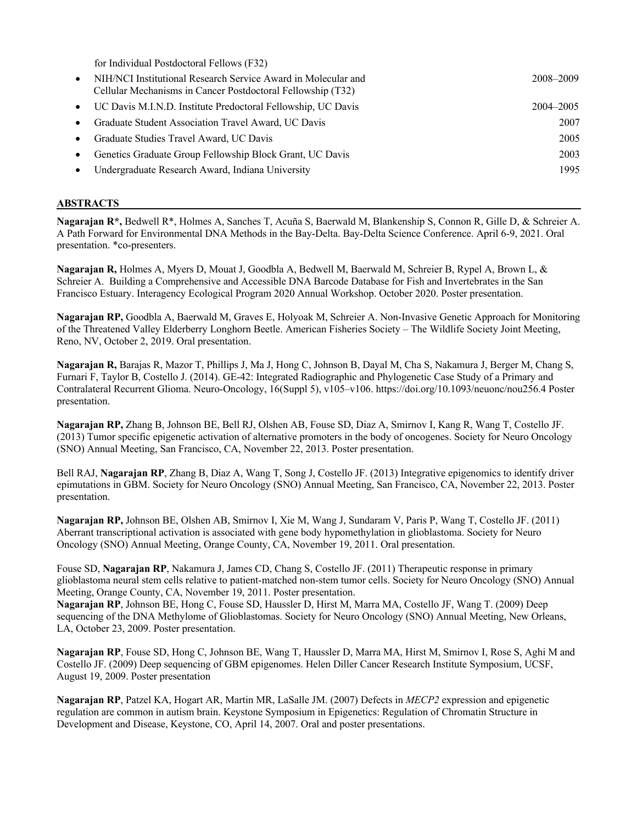for Individual Postdoctoral Fellows (F32)

| $\bullet$ | NIH/NCI Institutional Research Service Award in Molecular and<br>Cellular Mechanisms in Cancer Postdoctoral Fellowship (T32) | 2008–2009 |
|-----------|------------------------------------------------------------------------------------------------------------------------------|-----------|
|           | UC Davis M.I.N.D. Institute Predoctoral Fellowship, UC Davis                                                                 | 2004–2005 |
|           | Graduate Student Association Travel Award, UC Davis                                                                          | 2007      |
|           | Graduate Studies Travel Award, UC Davis                                                                                      | 2005      |
|           | Genetics Graduate Group Fellowship Block Grant, UC Davis                                                                     | 2003      |
|           | Undergraduate Research Award, Indiana University                                                                             | 1995      |
|           |                                                                                                                              |           |

## **ABSTRACTS**

**Nagarajan R\*,** Bedwell R\*, Holmes A, Sanches T, Acuña S, Baerwald M, Blankenship S, Connon R, Gille D, & Schreier A. A Path Forward for Environmental DNA Methods in the Bay-Delta. Bay-Delta Science Conference. April 6-9, 2021. Oral presentation. \*co-presenters.

**Nagarajan R,** Holmes A, Myers D, Mouat J, Goodbla A, Bedwell M, Baerwald M, Schreier B, Rypel A, Brown L, & Schreier A. Building a Comprehensive and Accessible DNA Barcode Database for Fish and Invertebrates in the San Francisco Estuary. Interagency Ecological Program 2020 Annual Workshop. October 2020. Poster presentation.

**Nagarajan RP,** Goodbla A, Baerwald M, Graves E, Holyoak M, Schreier A. Non-Invasive Genetic Approach for Monitoring of the Threatened Valley Elderberry Longhorn Beetle. American Fisheries Society – The Wildlife Society Joint Meeting, Reno, NV, October 2, 2019. Oral presentation.

**Nagarajan R,** Barajas R, Mazor T, Phillips J, Ma J, Hong C, Johnson B, Dayal M, Cha S, Nakamura J, Berger M, Chang S, Furnari F, Taylor B, Costello J. (2014). GE-42: Integrated Radiographic and Phylogenetic Case Study of a Primary and Contralateral Recurrent Glioma. Neuro-Oncology, 16(Suppl 5), v105–v106. https://doi.org/10.1093/neuonc/nou256.4 Poster presentation.

**Nagarajan RP,** Zhang B, Johnson BE, Bell RJ, Olshen AB, Fouse SD, Diaz A, Smirnov I, Kang R, Wang T, Costello JF. (2013) Tumor specific epigenetic activation of alternative promoters in the body of oncogenes. Society for Neuro Oncology (SNO) Annual Meeting, San Francisco, CA, November 22, 2013. Poster presentation.

Bell RAJ, **Nagarajan RP**, Zhang B, Diaz A, Wang T, Song J, Costello JF. (2013) Integrative epigenomics to identify driver epimutations in GBM. Society for Neuro Oncology (SNO) Annual Meeting, San Francisco, CA, November 22, 2013. Poster presentation.

**Nagarajan RP,** Johnson BE, Olshen AB, Smirnov I, Xie M, Wang J, Sundaram V, Paris P, Wang T, Costello JF. (2011) Aberrant transcriptional activation is associated with gene body hypomethylation in glioblastoma. Society for Neuro Oncology (SNO) Annual Meeting, Orange County, CA, November 19, 2011. Oral presentation.

Fouse SD, **Nagarajan RP**, Nakamura J, James CD, Chang S, Costello JF. (2011) Therapeutic response in primary glioblastoma neural stem cells relative to patient-matched non-stem tumor cells. Society for Neuro Oncology (SNO) Annual Meeting, Orange County, CA, November 19, 2011. Poster presentation.

**Nagarajan RP**, Johnson BE, Hong C, Fouse SD, Haussler D, Hirst M, Marra MA, Costello JF, Wang T. (2009) Deep sequencing of the DNA Methylome of Glioblastomas. Society for Neuro Oncology (SNO) Annual Meeting, New Orleans, LA, October 23, 2009. Poster presentation.

**Nagarajan RP**, Fouse SD, Hong C, Johnson BE, Wang T, Haussler D, Marra MA, Hirst M, Smirnov I, Rose S, Aghi M and Costello JF. (2009) Deep sequencing of GBM epigenomes. Helen Diller Cancer Research Institute Symposium, UCSF, August 19, 2009. Poster presentation

**Nagarajan RP**, Patzel KA, Hogart AR, Martin MR, LaSalle JM. (2007) Defects in *MECP2* expression and epigenetic regulation are common in autism brain. Keystone Symposium in Epigenetics: Regulation of Chromatin Structure in Development and Disease, Keystone, CO, April 14, 2007. Oral and poster presentations.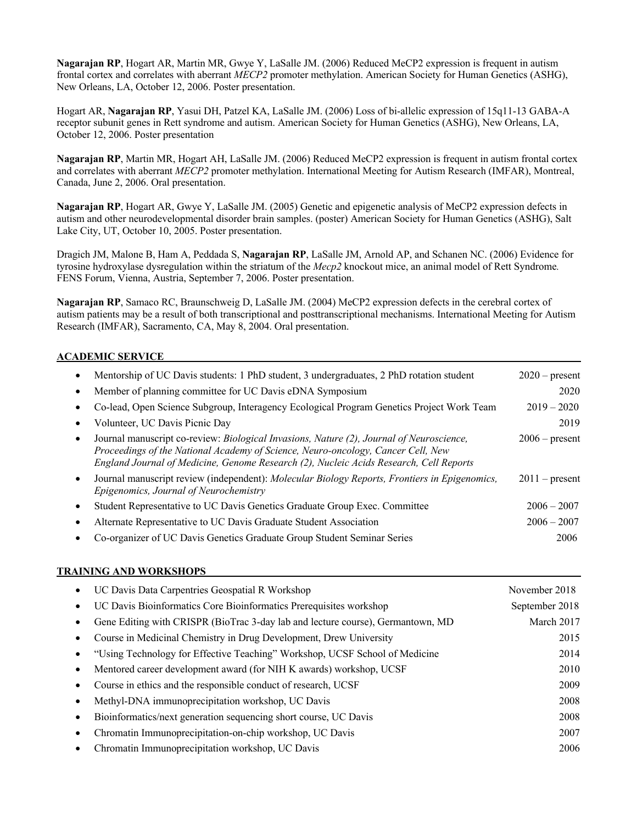**Nagarajan RP**, Hogart AR, Martin MR, Gwye Y, LaSalle JM. (2006) Reduced MeCP2 expression is frequent in autism frontal cortex and correlates with aberrant *MECP2* promoter methylation. American Society for Human Genetics (ASHG), New Orleans, LA, October 12, 2006. Poster presentation.

Hogart AR, **Nagarajan RP**, Yasui DH, Patzel KA, LaSalle JM. (2006) Loss of bi-allelic expression of 15q11-13 GABA-A receptor subunit genes in Rett syndrome and autism. American Society for Human Genetics (ASHG), New Orleans, LA, October 12, 2006. Poster presentation

**Nagarajan RP**, Martin MR, Hogart AH, LaSalle JM. (2006) Reduced MeCP2 expression is frequent in autism frontal cortex and correlates with aberrant *MECP2* promoter methylation. International Meeting for Autism Research (IMFAR), Montreal, Canada, June 2, 2006. Oral presentation.

**Nagarajan RP**, Hogart AR, Gwye Y, LaSalle JM. (2005) Genetic and epigenetic analysis of MeCP2 expression defects in autism and other neurodevelopmental disorder brain samples. (poster) American Society for Human Genetics (ASHG), Salt Lake City, UT, October 10, 2005. Poster presentation.

Dragich JM, Malone B, Ham A, Peddada S, **Nagarajan RP**, LaSalle JM, Arnold AP, and Schanen NC. (2006) Evidence for tyrosine hydroxylase dysregulation within the striatum of the *Mecp2* knockout mice, an animal model of Rett Syndrome*.*  FENS Forum, Vienna, Austria, September 7, 2006. Poster presentation.

**Nagarajan RP**, Samaco RC, Braunschweig D, LaSalle JM. (2004) MeCP2 expression defects in the cerebral cortex of autism patients may be a result of both transcriptional and posttranscriptional mechanisms. International Meeting for Autism Research (IMFAR), Sacramento, CA, May 8, 2004. Oral presentation.

## **ACADEMIC SERVICE**

|   | Mentorship of UC Davis students: 1 PhD student, 3 undergraduates, 2 PhD rotation student                                                                                                                                                                               | $2020$ – present |
|---|------------------------------------------------------------------------------------------------------------------------------------------------------------------------------------------------------------------------------------------------------------------------|------------------|
|   | Member of planning committee for UC Davis eDNA Symposium                                                                                                                                                                                                               | 2020             |
|   | Co-lead, Open Science Subgroup, Interagency Ecological Program Genetics Project Work Team                                                                                                                                                                              | $2019 - 2020$    |
|   | Volunteer, UC Davis Picnic Day                                                                                                                                                                                                                                         | 2019             |
| ٠ | Journal manuscript co-review: Biological Invasions, Nature (2), Journal of Neuroscience,<br>Proceedings of the National Academy of Science, Neuro-oncology, Cancer Cell, New<br>England Journal of Medicine, Genome Research (2), Nucleic Acids Research, Cell Reports | $2006$ – present |
|   | Journal manuscript review (independent): Molecular Biology Reports, Frontiers in Epigenomics,<br>Epigenomics, Journal of Neurochemistry                                                                                                                                | $2011$ – present |
|   | Student Representative to UC Davis Genetics Graduate Group Exec. Committee                                                                                                                                                                                             | $2006 - 2007$    |
|   | Alternate Representative to UC Davis Graduate Student Association                                                                                                                                                                                                      | $2006 - 2007$    |
|   | Co-organizer of UC Davis Genetics Graduate Group Student Seminar Series                                                                                                                                                                                                | 2006             |

## **TRAINING AND WORKSHOPS**

| UC Davis Data Carpentries Geospatial R Workshop                                 | November 2018  |
|---------------------------------------------------------------------------------|----------------|
| UC Davis Bioinformatics Core Bioinformatics Prerequisites workshop              | September 2018 |
| Gene Editing with CRISPR (BioTrac 3-day lab and lecture course), Germantown, MD | March 2017     |
| Course in Medicinal Chemistry in Drug Development, Drew University              | 2015           |
| "Using Technology for Effective Teaching" Workshop, UCSF School of Medicine     | 2014           |
| Mentored career development award (for NIH K awards) workshop, UCSF             | 2010           |
| Course in ethics and the responsible conduct of research, UCSF                  | 2009           |
| Methyl-DNA immunoprecipitation workshop, UC Davis                               | 2008           |
| Bioinformatics/next generation sequencing short course, UC Davis                | 2008           |
| Chromatin Immunoprecipitation-on-chip workshop, UC Davis                        | 2007           |
| Chromatin Immunoprecipitation workshop, UC Davis                                | 2006           |